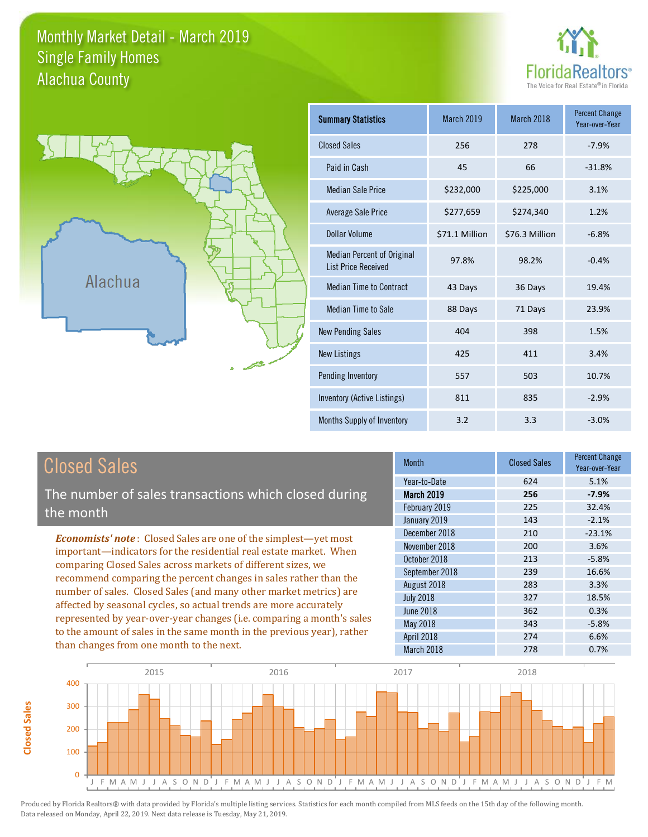## Monthly Market Detail - March 2019 Alachua County Single Family Homes





**Closed Sales**

**Closed Sales** 

| <b>Summary Statistics</b>                                       | <b>March 2019</b> | March 2018     | <b>Percent Change</b><br>Year-over-Year |
|-----------------------------------------------------------------|-------------------|----------------|-----------------------------------------|
| <b>Closed Sales</b>                                             | 256               | 278            | $-7.9%$                                 |
| Paid in Cash                                                    | 45                | 66             | $-31.8%$                                |
| <b>Median Sale Price</b>                                        | \$232,000         | \$225,000      | 3.1%                                    |
| <b>Average Sale Price</b>                                       | \$277,659         | \$274,340      | 1.2%                                    |
| Dollar Volume                                                   | \$71.1 Million    | \$76.3 Million | $-6.8%$                                 |
| <b>Median Percent of Original</b><br><b>List Price Received</b> | 97.8%             | 98.2%          | $-0.4%$                                 |
| <b>Median Time to Contract</b>                                  | 43 Days           | 36 Days        | 19.4%                                   |
| <b>Median Time to Sale</b>                                      | 88 Days           | 71 Days        | 23.9%                                   |
| <b>New Pending Sales</b>                                        | 404               | 398            | 1.5%                                    |
| <b>New Listings</b>                                             | 425               | 411            | 3.4%                                    |
| Pending Inventory                                               | 557               | 503            | 10.7%                                   |
| Inventory (Active Listings)                                     | 811               | 835            | $-2.9%$                                 |
| Months Supply of Inventory                                      | 3.2               | 3.3            | $-3.0%$                                 |

| <b>Closed Sales</b>                                                                                                               | <b>Month</b>      | <b>Closed Sales</b> | <b>Percent Change</b><br>Year-over-Year |
|-----------------------------------------------------------------------------------------------------------------------------------|-------------------|---------------------|-----------------------------------------|
|                                                                                                                                   | Year-to-Date      | 624                 | 5.1%                                    |
| The number of sales transactions which closed during                                                                              | <b>March 2019</b> | 256                 | $-7.9%$                                 |
| the month                                                                                                                         | February 2019     | 225                 | 32.4%                                   |
|                                                                                                                                   | January 2019      | 143                 | $-2.1%$                                 |
| <b>Economists' note:</b> Closed Sales are one of the simplest—yet most                                                            | December 2018     | 210                 | $-23.1%$                                |
| important—indicators for the residential real estate market. When<br>comparing Closed Sales across markets of different sizes, we | November 2018     | 200                 | 3.6%                                    |
|                                                                                                                                   | October 2018      | 213                 | $-5.8%$                                 |
| recommend comparing the percent changes in sales rather than the                                                                  | September 2018    | 239                 | 16.6%                                   |
|                                                                                                                                   | August 2018       | 283                 | 3.3%                                    |
| number of sales. Closed Sales (and many other market metrics) are                                                                 | <b>July 2018</b>  | 327                 | 18.5%                                   |
| affected by seasonal cycles, so actual trends are more accurately                                                                 | <b>June 2018</b>  | 362                 | 0.3%                                    |
| represented by year-over-year changes (i.e. comparing a month's sales                                                             | May 2018          | 343                 | $-5.8%$                                 |
| to the amount of sales in the same month in the previous year), rather                                                            | April 2018        | 274                 | 6.6%                                    |
| than changes from one month to the next.                                                                                          | March 2018        | 278                 | 0.7%                                    |

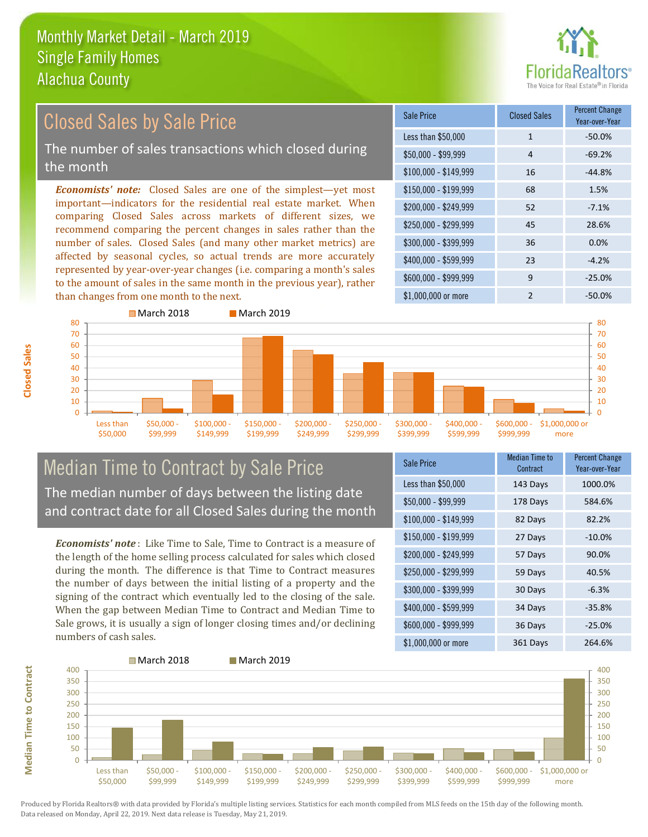than changes from one month to the next.



#### \$100,000 - \$149,999 16 -44.8% Sale Price Closed Sales Percent Change Year-over-Year Less than \$50,000 1 1 -50.0%  $$50.000 - $99.999$  4 -69.2% \$150,000 - \$199,999 68 1.5% \$200,000 - \$249,999 52 -7.1%  $$400,000 - $599,999$  23  $-4.2\%$ \$600,000 - \$999,999 9 -25.0% *Economists' note:* Closed Sales are one of the simplest—yet most important—indicators for the residential real estate market. When comparing Closed Sales across markets of different sizes, we recommend comparing the percent changes in sales rather than the number of sales. Closed Sales (and many other market metrics) are affected by seasonal cycles, so actual trends are more accurately represented by year-over-year changes (i.e. comparing a month's sales to the amount of sales in the same month in the previous year), rather \$250,000 - \$299,999 45 28.6% \$300,000 - \$399,999 36 0.0% Closed Sales by Sale Price The number of sales transactions which closed during the month



## Median Time to Contract by Sale Price The median number of days between the listing date and contract date for all Closed Sales during the month

*Economists' note* : Like Time to Sale, Time to Contract is a measure of the length of the home selling process calculated for sales which closed during the month. The difference is that Time to Contract measures the number of days between the initial listing of a property and the signing of the contract which eventually led to the closing of the sale. When the gap between Median Time to Contract and Median Time to Sale grows, it is usually a sign of longer closing times and/or declining numbers of cash sales.

| Sale Price            | Median Time to<br>Contract | <b>Percent Change</b><br>Year-over-Year |
|-----------------------|----------------------------|-----------------------------------------|
| Less than \$50,000    | 143 Days                   | 1000.0%                                 |
| $$50,000 - $99,999$   | 178 Days                   | 584.6%                                  |
| $$100,000 - $149,999$ | 82 Days                    | 82.2%                                   |
| $$150,000 - $199,999$ | 27 Days                    | $-10.0%$                                |
| \$200,000 - \$249,999 | 57 Days                    | 90.0%                                   |
| \$250,000 - \$299,999 | 59 Days                    | 40.5%                                   |
| \$300,000 - \$399,999 | 30 Days                    | $-6.3%$                                 |
| \$400,000 - \$599,999 | 34 Days                    | $-35.8%$                                |
| \$600,000 - \$999,999 | 36 Days                    | $-25.0%$                                |
| \$1,000,000 or more   | 361 Days                   | 264.6%                                  |

\$1,000,000 or more 2 -50.0%



Produced by Florida Realtors® with data provided by Florida's multiple listing services. Statistics for each month compiled from MLS feeds on the 15th day of the following month. Data released on Monday, April 22, 2019. Next data release is Tuesday, May 21, 2019.

**Median Time to Contract**

**Median Time to Contract**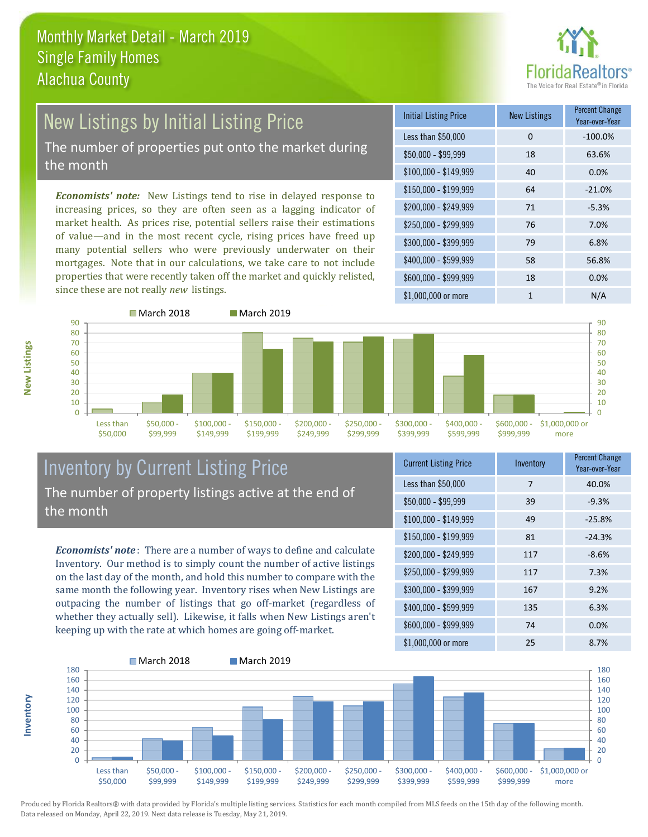

### New Listings by Initial Listing Price The number of properties put onto the market during the month

*Economists' note:* New Listings tend to rise in delayed response to increasing prices, so they are often seen as a lagging indicator of market health. As prices rise, potential sellers raise their estimations of value—and in the most recent cycle, rising prices have freed up many potential sellers who were previously underwater on their mortgages. Note that in our calculations, we take care to not include properties that were recently taken off the market and quickly relisted, since these are not really *new* listings.

| <b>Initial Listing Price</b> | <b>New Listings</b> | <b>Percent Change</b><br>Year-over-Year |
|------------------------------|---------------------|-----------------------------------------|
| Less than \$50,000           | 0                   | $-100.0%$                               |
| $$50,000 - $99,999$          | 18                  | 63.6%                                   |
| $$100,000 - $149,999$        | 40                  | 0.0%                                    |
| $$150,000 - $199,999$        | 64                  | $-21.0%$                                |
| \$200,000 - \$249,999        | 71                  | $-5.3%$                                 |
| \$250,000 - \$299,999        | 76                  | 7.0%                                    |
| \$300,000 - \$399,999        | 79                  | 6.8%                                    |
| \$400,000 - \$599,999        | 58                  | 56.8%                                   |
| \$600,000 - \$999,999        | 18                  | 0.0%                                    |
| \$1,000,000 or more          | 1                   | N/A                                     |



## Inventory by Current Listing Price The number of property listings active at the end of the month

*Economists' note* : There are a number of ways to define and calculate Inventory. Our method is to simply count the number of active listings on the last day of the month, and hold this number to compare with the same month the following year. Inventory rises when New Listings are outpacing the number of listings that go off-market (regardless of whether they actually sell). Likewise, it falls when New Listings aren't keeping up with the rate at which homes are going off-market.

| <b>Current Listing Price</b> | Inventory | <b>Percent Change</b><br>Year-over-Year |
|------------------------------|-----------|-----------------------------------------|
| Less than \$50,000           | 7         | 40.0%                                   |
| $$50,000 - $99,999$          | 39        | $-9.3%$                                 |
| $$100,000 - $149,999$        | 49        | $-25.8%$                                |
| $$150,000 - $199,999$        | 81        | $-24.3%$                                |
| \$200,000 - \$249,999        | 117       | $-8.6%$                                 |
| \$250,000 - \$299,999        | 117       | 7.3%                                    |
| \$300,000 - \$399,999        | 167       | 9.2%                                    |
| \$400,000 - \$599,999        | 135       | 6.3%                                    |
| \$600,000 - \$999,999        | 74        | 0.0%                                    |
| \$1,000,000 or more          | 25        | 8.7%                                    |



Produced by Florida Realtors® with data provided by Florida's multiple listing services. Statistics for each month compiled from MLS feeds on the 15th day of the following month. Data released on Monday, April 22, 2019. Next data release is Tuesday, May 21, 2019.

**Inventory**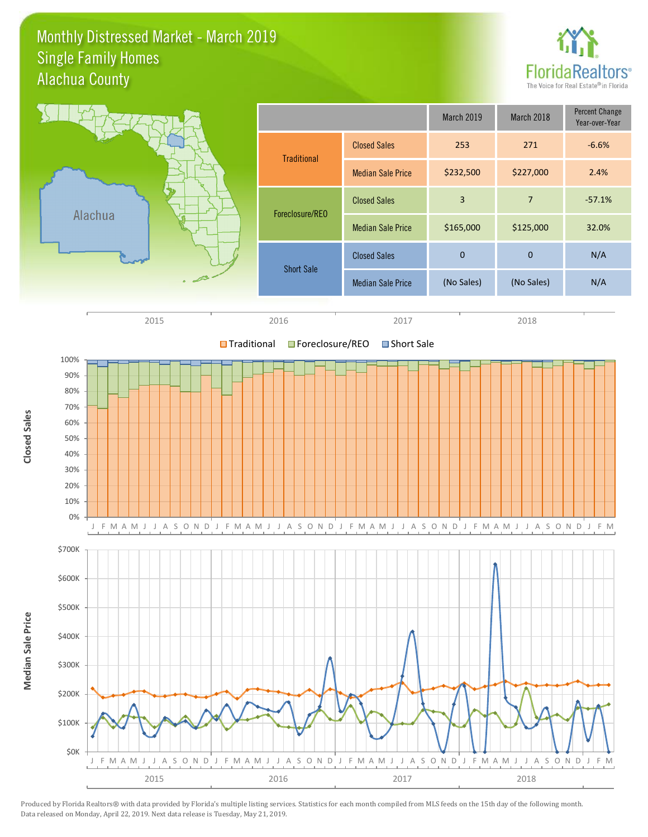### Monthly Distressed Market - March 2019 Alachua County Single Family Homes



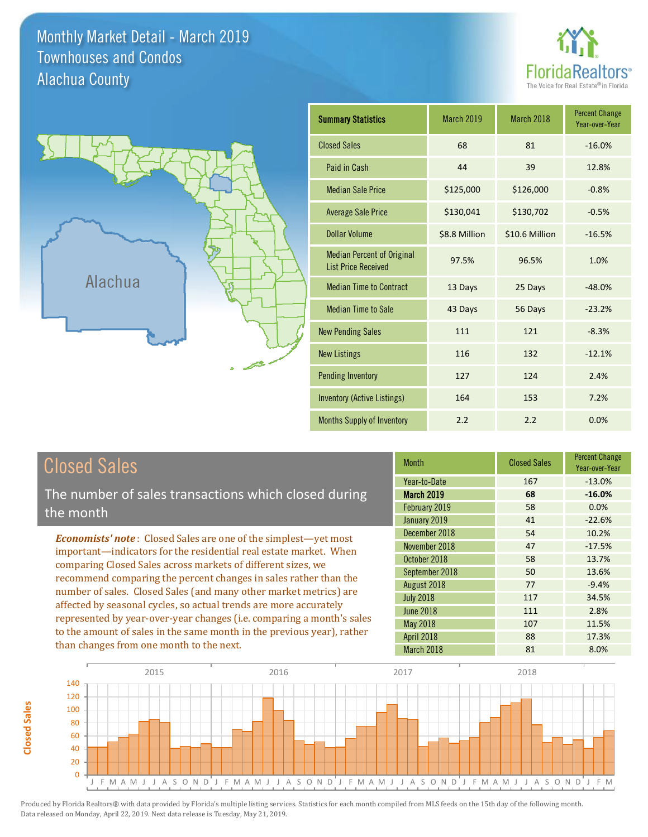Monthly Market Detail - March 2019 Alachua County Townhouses and Condos





**Closed Sales**

**Closed Sales** 

| <b>Summary Statistics</b>                                       | March 2019    | <b>March 2018</b> | <b>Percent Change</b><br>Year-over-Year |
|-----------------------------------------------------------------|---------------|-------------------|-----------------------------------------|
| <b>Closed Sales</b>                                             | 68            | 81                | $-16.0%$                                |
| Paid in Cash                                                    | 44            | 39                | 12.8%                                   |
| <b>Median Sale Price</b>                                        | \$125,000     | \$126,000         | $-0.8%$                                 |
| <b>Average Sale Price</b>                                       | \$130,041     | \$130,702         | $-0.5%$                                 |
| <b>Dollar Volume</b>                                            | \$8.8 Million | \$10.6 Million    | $-16.5%$                                |
| <b>Median Percent of Original</b><br><b>List Price Received</b> | 97.5%         | 96.5%             | 1.0%                                    |
| <b>Median Time to Contract</b>                                  | 13 Days       | 25 Days           | $-48.0%$                                |
| <b>Median Time to Sale</b>                                      | 43 Days       | 56 Days           | $-23.2%$                                |
| <b>New Pending Sales</b>                                        | 111           | 121               | $-8.3%$                                 |
| <b>New Listings</b>                                             | 116           | 132               | $-12.1%$                                |
| <b>Pending Inventory</b>                                        | 127           | 124               | 2.4%                                    |
| <b>Inventory (Active Listings)</b>                              | 164           | 153               | 7.2%                                    |
| <b>Months Supply of Inventory</b>                               | 2.2           | 2.2               | 0.0%                                    |

| <b>Closed Sales</b>                                                                                                                    | <b>Month</b>      | <b>Closed Sales</b> | <b>Percent Change</b><br>Year-over-Year |
|----------------------------------------------------------------------------------------------------------------------------------------|-------------------|---------------------|-----------------------------------------|
|                                                                                                                                        | Year-to-Date      | 167                 | $-13.0%$                                |
| The number of sales transactions which closed during                                                                                   | <b>March 2019</b> | 68                  | $-16.0%$                                |
| the month                                                                                                                              | February 2019     | 58                  | 0.0%                                    |
|                                                                                                                                        | January 2019      | 41                  | $-22.6%$                                |
| <b>Economists' note:</b> Closed Sales are one of the simplest—yet most                                                                 | December 2018     | 54                  | 10.2%                                   |
| important-indicators for the residential real estate market. When<br>comparing Closed Sales across markets of different sizes, we      | November 2018     | 47                  | $-17.5%$                                |
|                                                                                                                                        | October 2018      | 58                  | 13.7%                                   |
| recommend comparing the percent changes in sales rather than the                                                                       | September 2018    | 50                  | 13.6%                                   |
|                                                                                                                                        | August 2018       | 77                  | $-9.4%$                                 |
| number of sales. Closed Sales (and many other market metrics) are<br>affected by seasonal cycles, so actual trends are more accurately | <b>July 2018</b>  | 117                 | 34.5%                                   |
|                                                                                                                                        | <b>June 2018</b>  | 111                 | 2.8%                                    |
| represented by year-over-year changes (i.e. comparing a month's sales                                                                  | <b>May 2018</b>   | 107                 | 11.5%                                   |
| to the amount of sales in the same month in the previous year), rather                                                                 | <b>April 2018</b> | 88                  | 17.3%                                   |
| than changes from one month to the next.                                                                                               | March 2018        | 81                  | 8.0%                                    |

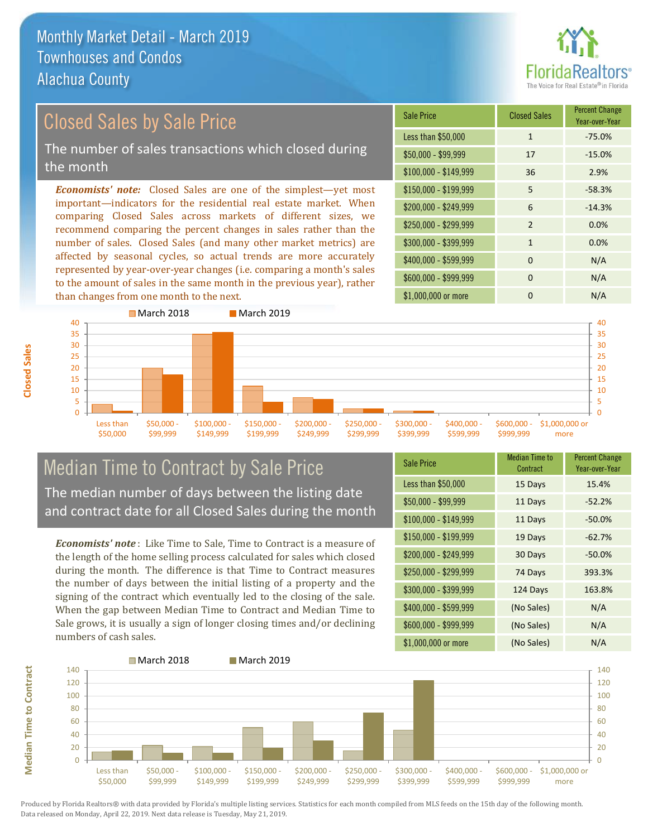

Year-over-Year

### \$100,000 - \$149,999 36 2.9% Sale Price Closed Sales Percent Change Less than \$50,000 1 1 -75.0% \$50,000 - \$99,999 17 -15.0% \$150,000 - \$199,999 5 -58.3% \$200,000 - \$249,999 6 -14.3% *Economists' note:* Closed Sales are one of the simplest—yet most important—indicators for the residential real estate market. When comparing Closed Sales across markets of different sizes, we recommend comparing the percent changes in sales rather than the Closed Sales by Sale Price The number of sales transactions which closed during the month

number of sales. Closed Sales (and many other market metrics) are affected by seasonal cycles, so actual trends are more accurately represented by year-over-year changes (i.e. comparing a month's sales to the amount of sales in the same month in the previous year), rather than changes from one month to the next.





## Median Time to Contract by Sale Price The median number of days between the listing date and contract date for all Closed Sales during the month

*Economists' note* : Like Time to Sale, Time to Contract is a measure of the length of the home selling process calculated for sales which closed during the month. The difference is that Time to Contract measures the number of days between the initial listing of a property and the signing of the contract which eventually led to the closing of the sale. When the gap between Median Time to Contract and Median Time to Sale grows, it is usually a sign of longer closing times and/or declining numbers of cash sales.

| <b>Sale Price</b>     | <b>Median Time to</b><br>Contract | <b>Percent Change</b><br>Year-over-Year |
|-----------------------|-----------------------------------|-----------------------------------------|
| Less than \$50,000    | 15 Days                           | 15.4%                                   |
| $$50,000 - $99,999$   | 11 Days                           | $-52.2%$                                |
| $$100,000 - $149,999$ | 11 Days                           | $-50.0%$                                |
| $$150,000 - $199,999$ | 19 Days                           | $-62.7%$                                |
| \$200,000 - \$249,999 | 30 Days                           | $-50.0%$                                |
| \$250,000 - \$299,999 | 74 Days                           | 393.3%                                  |
| \$300,000 - \$399,999 | 124 Days                          | 163.8%                                  |
| \$400,000 - \$599,999 | (No Sales)                        | N/A                                     |
| \$600,000 - \$999,999 | (No Sales)                        | N/A                                     |
| \$1,000,000 or more   | (No Sales)                        | N/A                                     |

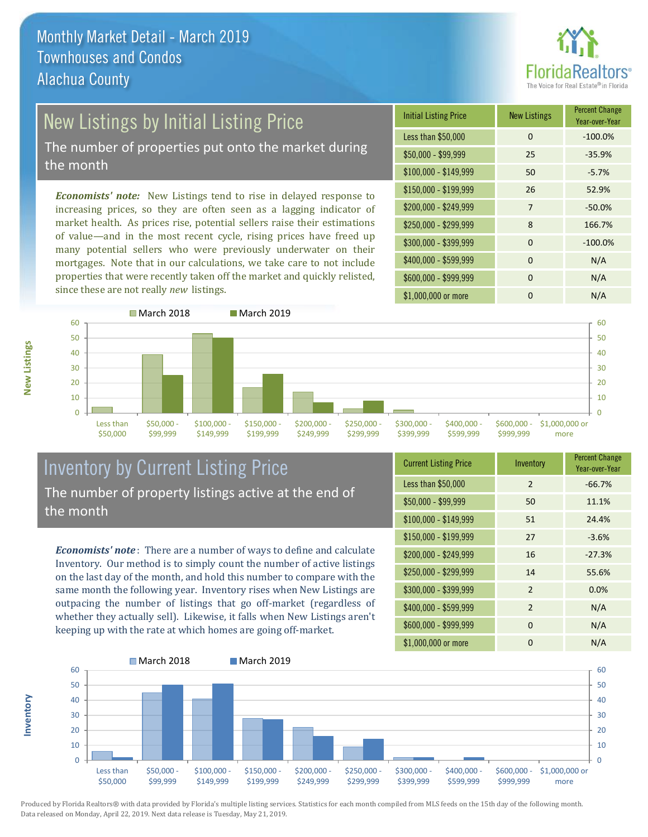

# New Listings by Initial Listing Price

The number of properties put onto the market during the month

*Economists' note:* New Listings tend to rise in delayed response to increasing prices, so they are often seen as a lagging indicator of market health. As prices rise, potential sellers raise their estimations of value—and in the most recent cycle, rising prices have freed up many potential sellers who were previously underwater on their mortgages. Note that in our calculations, we take care to not include properties that were recently taken off the market and quickly relisted, since these are not really *new* listings.

| <b>Initial Listing Price</b> | <b>New Listings</b> | <b>Percent Change</b><br>Year-over-Year |
|------------------------------|---------------------|-----------------------------------------|
| Less than \$50,000           | $\Omega$            | $-100.0%$                               |
| $$50,000 - $99,999$          | 25                  | $-35.9%$                                |
| $$100,000 - $149,999$        | 50                  | $-5.7%$                                 |
| $$150,000 - $199,999$        | 26                  | 52.9%                                   |
| \$200,000 - \$249,999        | $\overline{7}$      | $-50.0%$                                |
| \$250,000 - \$299,999        | 8                   | 166.7%                                  |
| \$300,000 - \$399,999        | $\Omega$            | $-100.0%$                               |
| \$400,000 - \$599,999        | $\Omega$            | N/A                                     |
| \$600,000 - \$999,999        | $\Omega$            | N/A                                     |
| \$1,000,000 or more          | n                   | N/A                                     |



## Inventory by Current Listing Price The number of property listings active at the end of the month

*Economists' note* : There are a number of ways to define and calculate Inventory. Our method is to simply count the number of active listings on the last day of the month, and hold this number to compare with the same month the following year. Inventory rises when New Listings are outpacing the number of listings that go off-market (regardless of whether they actually sell). Likewise, it falls when New Listings aren't keeping up with the rate at which homes are going off-market.

| <b>Current Listing Price</b> | Inventory      | <b>Percent Change</b><br>Year-over-Year |
|------------------------------|----------------|-----------------------------------------|
| Less than \$50,000           | $\mathcal{P}$  | $-66.7%$                                |
| $$50,000 - $99,999$          | 50             | 11.1%                                   |
| $$100,000 - $149,999$        | 51             | 24.4%                                   |
| $$150,000 - $199,999$        | 27             | $-3.6%$                                 |
| \$200,000 - \$249,999        | 16             | $-27.3%$                                |
| \$250,000 - \$299,999        | 14             | 55.6%                                   |
| \$300,000 - \$399,999        | 2              | 0.0%                                    |
| \$400,000 - \$599,999        | $\overline{2}$ | N/A                                     |
| \$600,000 - \$999,999        | $\Omega$       | N/A                                     |
| \$1,000,000 or more          | 0              | N/A                                     |



Produced by Florida Realtors® with data provided by Florida's multiple listing services. Statistics for each month compiled from MLS feeds on the 15th day of the following month. Data released on Monday, April 22, 2019. Next data release is Tuesday, May 21, 2019.

**Inventory**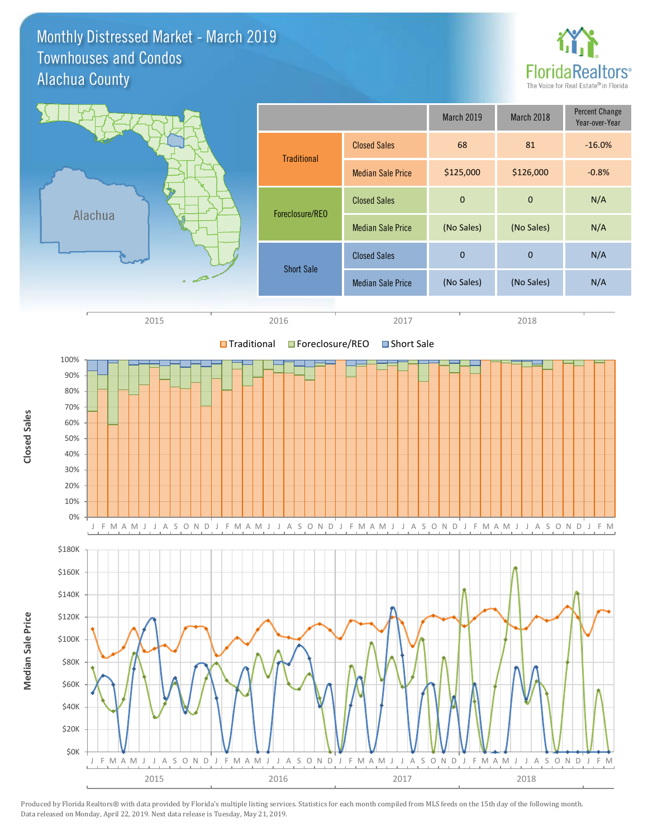### Monthly Distressed Market - March 2019 Alachua County Townhouses and Condos



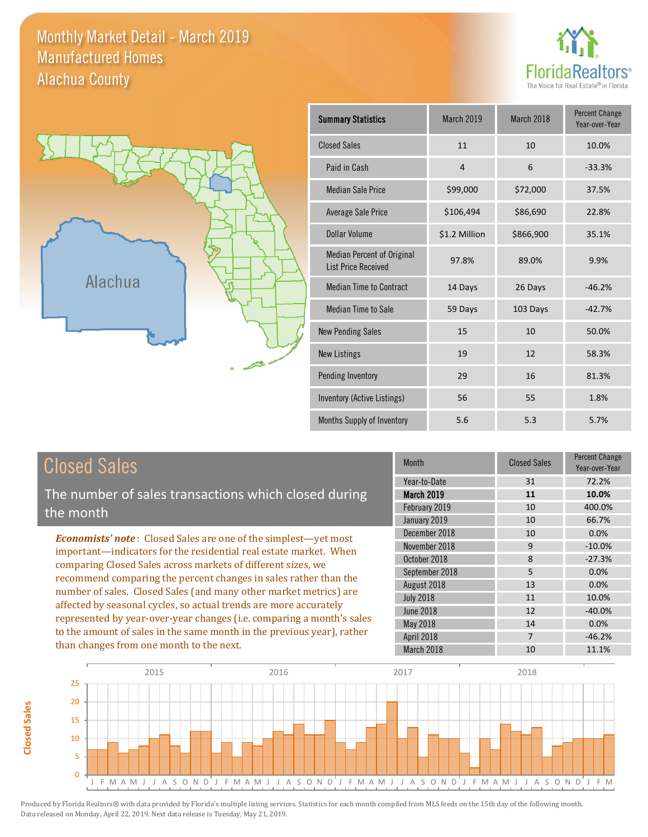Monthly Market Detail - March 2019 Alachua County Manufactured Homes





**Closed Sales**

**Closed Sales** 

| <b>Summary Statistics</b>                                | <b>March 2019</b> | March 2018 | <b>Percent Change</b><br>Year-over-Year |
|----------------------------------------------------------|-------------------|------------|-----------------------------------------|
| <b>Closed Sales</b>                                      | 11                | 10         | 10.0%                                   |
| Paid in Cash                                             | $\overline{4}$    | 6          | $-33.3%$                                |
| <b>Median Sale Price</b>                                 | \$99,000          | \$72,000   | 37.5%                                   |
| Average Sale Price                                       | \$106,494         | \$86,690   | 22.8%                                   |
| Dollar Volume                                            | \$1.2 Million     | \$866,900  | 35.1%                                   |
| Median Percent of Original<br><b>List Price Received</b> | 97.8%             | 89.0%      | 9.9%                                    |
| <b>Median Time to Contract</b>                           | 14 Days           | 26 Days    | $-46.2%$                                |
| <b>Median Time to Sale</b>                               | 59 Days           | 103 Days   | $-42.7%$                                |
| <b>New Pending Sales</b>                                 | 15                | 10         | 50.0%                                   |
| <b>New Listings</b>                                      | 19                | 12         | 58.3%                                   |
| <b>Pending Inventory</b>                                 | 29                | 16         | 81.3%                                   |
| <b>Inventory (Active Listings)</b>                       | 56                | 55         | 1.8%                                    |
| Months Supply of Inventory                               | 5.6               | 5.3        | 5.7%                                    |

| <b>Closed Sales</b>                                                                                                                                                                                                                                                                                                                                                                                                                                                                                                                                                                                                      | <b>Month</b>                                                                    | <b>Closed Sales</b>       | <b>Percent Change</b><br>Year-over-Year        |
|--------------------------------------------------------------------------------------------------------------------------------------------------------------------------------------------------------------------------------------------------------------------------------------------------------------------------------------------------------------------------------------------------------------------------------------------------------------------------------------------------------------------------------------------------------------------------------------------------------------------------|---------------------------------------------------------------------------------|---------------------------|------------------------------------------------|
| The number of sales transactions which closed during<br>the month                                                                                                                                                                                                                                                                                                                                                                                                                                                                                                                                                        | Year-to-Date<br><b>March 2019</b><br>February 2019<br>January 2019              | 31<br>11<br>10<br>10      | 72.2%<br>10.0%<br>400.0%<br>66.7%              |
| <b>Economists' note:</b> Closed Sales are one of the simplest—yet most<br>important-indicators for the residential real estate market. When<br>comparing Closed Sales across markets of different sizes, we<br>recommend comparing the percent changes in sales rather than the<br>number of sales. Closed Sales (and many other market metrics) are<br>affected by seasonal cycles, so actual trends are more accurately<br>represented by year-over-year changes (i.e. comparing a month's sales<br>to the amount of sales in the same month in the previous year), rather<br>than changes from one month to the next. | December 2018<br>November 2018<br>October 2018<br>September 2018<br>August 2018 | 10<br>9<br>8<br>5<br>13   | 0.0%<br>$-10.0\%$<br>$-27.3%$<br>0.0%<br>0.0%  |
|                                                                                                                                                                                                                                                                                                                                                                                                                                                                                                                                                                                                                          | <b>July 2018</b><br>June 2018<br>May 2018<br>April 2018<br>March 2018           | 11<br>12<br>14<br>7<br>10 | 10.0%<br>$-40.0%$<br>0.0%<br>$-46.2%$<br>11.1% |

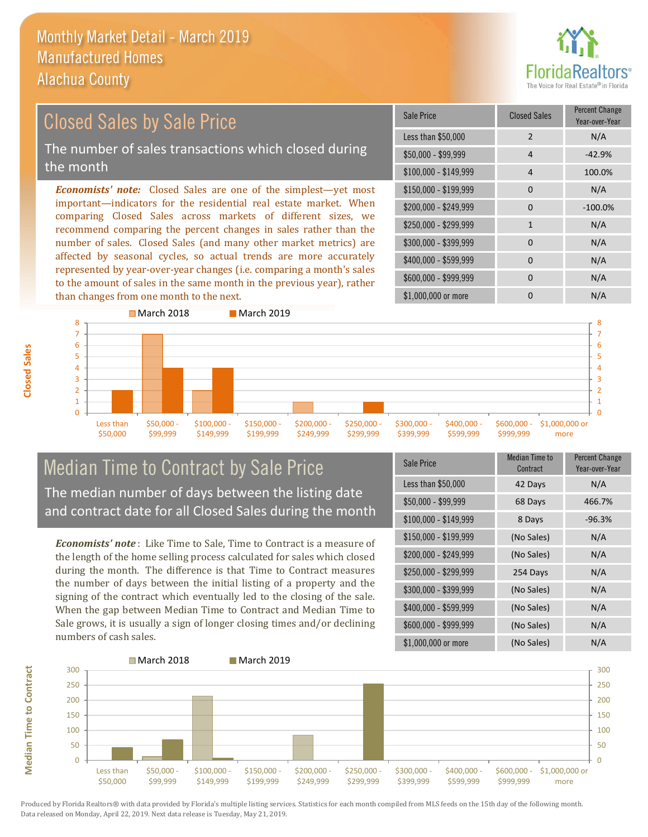than changes from one month to the next.



### \$100,000 - \$149,999 4 100.0% Sale Price Closed Sales Percent Change Year-over-Year Less than \$50,000 2 N/A  $$50.000 - $99.999$  4  $-42.9\%$ \$150,000 - \$199,999 0 N/A \$200,000 - \$249,999 0 -100.0%  $$400,000 - $599,999$  0 N/A \$600,000 - \$999,999 0 0 N/A *Economists' note:* Closed Sales are one of the simplest—yet most important—indicators for the residential real estate market. When comparing Closed Sales across markets of different sizes, we recommend comparing the percent changes in sales rather than the number of sales. Closed Sales (and many other market metrics) are affected by seasonal cycles, so actual trends are more accurately represented by year-over-year changes (i.e. comparing a month's sales \$250,000 - \$299,999 1 1 N/A \$300,000 - \$399,999 0 0 N/A Closed Sales by Sale Price The number of sales transactions which closed during the month



## Median Time to Contract by Sale Price The median number of days between the listing date and contract date for all Closed Sales during the month

to the amount of sales in the same month in the previous year), rather

*Economists' note* : Like Time to Sale, Time to Contract is a measure of the length of the home selling process calculated for sales which closed during the month. The difference is that Time to Contract measures the number of days between the initial listing of a property and the signing of the contract which eventually led to the closing of the sale. When the gap between Median Time to Contract and Median Time to Sale grows, it is usually a sign of longer closing times and/or declining numbers of cash sales.

| Sale Price            | Median Time to<br>Contract | <b>Percent Change</b><br>Year-over-Year |
|-----------------------|----------------------------|-----------------------------------------|
| Less than \$50,000    | 42 Days                    | N/A                                     |
| $$50,000 - $99,999$   | 68 Days                    | 466.7%                                  |
| $$100,000 - $149,999$ | 8 Days                     | $-96.3%$                                |
| $$150,000 - $199,999$ | (No Sales)                 | N/A                                     |
| \$200,000 - \$249,999 | (No Sales)                 | N/A                                     |
| \$250,000 - \$299,999 | 254 Days                   | N/A                                     |
| \$300,000 - \$399,999 | (No Sales)                 | N/A                                     |
| \$400,000 - \$599,999 | (No Sales)                 | N/A                                     |
| \$600,000 - \$999,999 | (No Sales)                 | N/A                                     |
| \$1,000,000 or more   | (No Sales)                 | N/A                                     |

\$1,000,000 or more 0 0 N/A



Produced by Florida Realtors® with data provided by Florida's multiple listing services. Statistics for each month compiled from MLS feeds on the 15th day of the following month. Data released on Monday, April 22, 2019. Next data release is Tuesday, May 21, 2019.

**Median Time to Contract**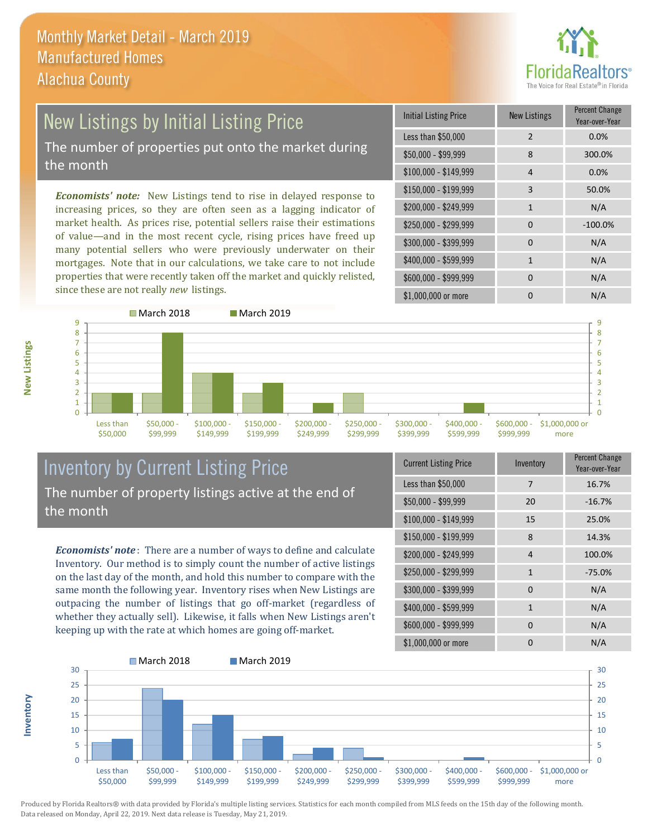

## New Listings by Initial Listing Price The number of properties put onto the market during the month

*Economists' note:* New Listings tend to rise in delayed response to increasing prices, so they are often seen as a lagging indicator of market health. As prices rise, potential sellers raise their estimations of value—and in the most recent cycle, rising prices have freed up many potential sellers who were previously underwater on their mortgages. Note that in our calculations, we take care to not include properties that were recently taken off the market and quickly relisted, since these are not really *new* listings.

| <b>Initial Listing Price</b> | <b>New Listings</b> | <b>Percent Change</b><br>Year-over-Year |
|------------------------------|---------------------|-----------------------------------------|
| Less than \$50,000           | 2                   | 0.0%                                    |
| \$50,000 - \$99,999          | 8                   | 300.0%                                  |
| $$100,000 - $149,999$        | 4                   | 0.0%                                    |
| \$150,000 - \$199,999        | 3                   | 50.0%                                   |
| \$200,000 - \$249,999        | $\mathbf{1}$        | N/A                                     |
| \$250,000 - \$299,999        | $\Omega$            | $-100.0%$                               |
| \$300,000 - \$399,999        | $\Omega$            | N/A                                     |
| \$400,000 - \$599,999        | 1                   | N/A                                     |
| \$600,000 - \$999,999        | $\Omega$            | N/A                                     |
| \$1,000,000 or more          | n                   | N/A                                     |



## Inventory by Current Listing Price The number of property listings active at the end of the month

*Economists' note* : There are a number of ways to define and calculate Inventory. Our method is to simply count the number of active listings on the last day of the month, and hold this number to compare with the same month the following year. Inventory rises when New Listings are outpacing the number of listings that go off-market (regardless of whether they actually sell). Likewise, it falls when New Listings aren't keeping up with the rate at which homes are going off-market.

| <b>Current Listing Price</b> | Inventory      | Percent Change<br>Year-over-Year |
|------------------------------|----------------|----------------------------------|
| Less than \$50,000           | 7              | 16.7%                            |
| $$50,000 - $99,999$          | 20             | $-16.7%$                         |
| $$100,000 - $149,999$        | 15             | 25.0%                            |
| $$150,000 - $199,999$        | 8              | 14.3%                            |
| \$200,000 - \$249,999        | $\overline{4}$ | 100.0%                           |
| \$250,000 - \$299,999        | $\mathbf{1}$   | $-75.0%$                         |
| \$300,000 - \$399,999        | $\Omega$       | N/A                              |
| \$400,000 - \$599,999        | $\mathbf{1}$   | N/A                              |
| \$600,000 - \$999,999        | $\Omega$       | N/A                              |
| \$1,000,000 or more          | O              | N/A                              |



Produced by Florida Realtors® with data provided by Florida's multiple listing services. Statistics for each month compiled from MLS feeds on the 15th day of the following month. Data released on Monday, April 22, 2019. Next data release is Tuesday, May 21, 2019.

**Inventory**